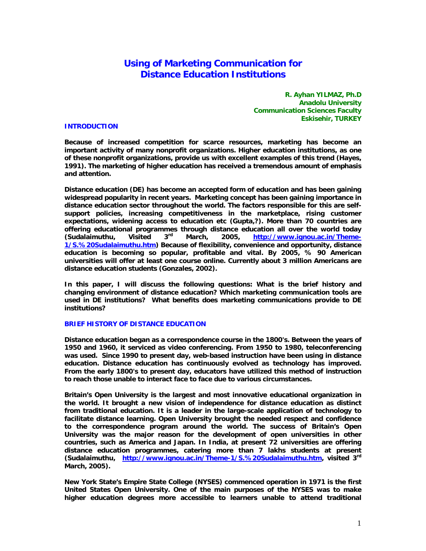# **Using of Marketing Communication for Distance Education Institutions**

**R. Ayhan YILMAZ, Ph.D Anadolu University Communication Sciences Faculty Eskisehir, TURKEY** 

#### **INTRODUCTION**

**Because of increased competition for scarce resources, marketing has become an important activity of many nonprofit organizations. Higher education institutions, as one of these nonprofit organizations, provide us with excellent examples of this trend (Hayes, 1991). The marketing of higher education has received a tremendous amount of emphasis and attention.** 

**Distance education (DE) has become an accepted form of education and has been gaining widespread popularity in recent years. Marketing concept has been gaining importance in distance education sector throughout the world. The factors responsible for this are selfsupport policies, increasing competitiveness in the marketplace, rising customer expectations, widening access to education etc (Gupta,?). More than 70 countries are offering educational programmes through distance education all over the world today (Sudalaimuthu, Visited 3rd March, 2005, http://www.ignou.ac.in/Theme-1/S.%20Sudalaimuthu.htm) Because of flexibility, convenience and opportunity, distance education is becoming so popular, profitable and vital. By 2005, % 90 American universities will offer at least one course online. Currently about 3 million Americans are distance education students (Gonzales, 2002).** 

**In this paper, I will discuss the following questions: What is the brief history and changing environment of distance education? Which marketing communication tools are used in DE institutions? What benefits does marketing communications provide to DE institutions?** 

## **BRIEF HISTORY OF DISTANCE EDUCATION**

**Distance education began as a correspondence course in the 1800's. Between the years of 1950 and 1960, it serviced as video conferencing. From 1950 to 1980, teleconferencing was used. Since 1990 to present day, web-based instruction have been using in distance education. Distance education has continuously evolved as technology has improved. From the early 1800's to present day, educators have utilized this method of instruction to reach those unable to interact face to face due to various circumstances.** 

**Britain's Open University is the largest and most innovative educational organization in the world. It brought a new vision of independence for distance education as distinct from traditional education. It is a leader in the large-scale application of technology to facilitate distance learning. Open University brought the needed respect and confidence to the correspondence program around the world. The success of Britain's Open University was the major reason for the development of open universities in other countries, such as America and Japan. In India, at present 72 universities are offering distance education programmes, catering more than 7 lakhs students at present (Sudalaimuthu, http://www.ignou.ac.in/Theme-1/S.%20Sudalaimuthu.htm, visited 3rd March, 2005).** 

**New York State's Empire State College (NYSES) commenced operation in 1971 is the first United States Open University. One of the main purposes of the NYSES was to make higher education degrees more accessible to learners unable to attend traditional**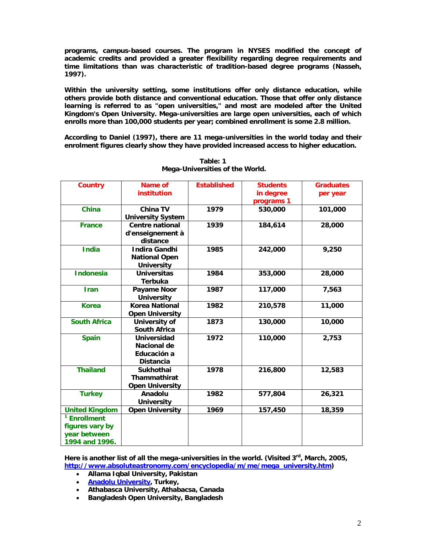**programs, campus-based courses. The program in NYSES modified the concept of academic credits and provided a greater flexibility regarding degree requirements and time limitations than was characteristic of tradition-based degree programs (Nasseh, 1997).** 

**Within the university setting, some institutions offer only distance education, while others provide both distance and conventional education. Those that offer only distance learning is referred to as "open universities," and most are modeled after the United Kingdom's Open University. Mega-universities are large open universities, each of which enrolls more than 100,000 students per year; combined enrollment is some 2.8 million.** 

**According to Daniel (1997), there are 11 mega-universities in the world today and their enrolment figures clearly show they have provided increased access to higher education.** 

| <b>Country</b>          | Name of                  | <b>Established</b> | <b>Students</b> | <b>Graduates</b> |
|-------------------------|--------------------------|--------------------|-----------------|------------------|
|                         | institution              |                    | in degree       | per year         |
|                         |                          |                    | programs 1      |                  |
| <b>China</b>            | <b>China TV</b>          | 1979               | 530,000         | 101,000          |
|                         | <b>University System</b> |                    |                 |                  |
| <b>France</b>           | <b>Centre national</b>   | 1939               | 184,614         | 28,000           |
|                         | d'enseignement à         |                    |                 |                  |
|                         | distance                 |                    |                 |                  |
| <b>India</b>            | <b>Indira Gandhi</b>     | 1985               | 242,000         | 9,250            |
|                         | <b>National Open</b>     |                    |                 |                  |
|                         | <b>University</b>        |                    |                 |                  |
| <b>Indonesia</b>        | <b>Universitas</b>       | 1984               | 353,000         | 28,000           |
|                         | <b>Terbuka</b>           |                    |                 |                  |
| <b>Iran</b>             | Payame Noor              | 1987               | 117,000         | 7,563            |
|                         | <b>University</b>        |                    |                 |                  |
| <b>Korea</b>            | <b>Korea National</b>    | 1982               | 210,578         | 11,000           |
|                         | <b>Open University</b>   |                    |                 |                  |
| <b>South Africa</b>     | <b>University of</b>     | 1873               | 130,000         | 10,000           |
|                         | <b>South Africa</b>      |                    |                 |                  |
| <b>Spain</b>            | Universidad              | 1972               | 110,000         | 2,753            |
|                         | Nacional de              |                    |                 |                  |
|                         | Educación a              |                    |                 |                  |
|                         | <b>Distancia</b>         |                    |                 |                  |
| <b>Thailand</b>         | <b>Sukhothai</b>         | 1978               | 216,800         | 12,583           |
|                         | <b>Thammathirat</b>      |                    |                 |                  |
|                         | <b>Open University</b>   |                    |                 |                  |
| <b>Turkey</b>           | Anadolu                  | 1982               | 577,804         | 26,321           |
|                         | <b>University</b>        |                    |                 |                  |
| <b>United Kingdom</b>   | <b>Open University</b>   | 1969               | 157,450         | 18,359           |
| <sup>1</sup> Enrollment |                          |                    |                 |                  |
| figures vary by         |                          |                    |                 |                  |
| year between            |                          |                    |                 |                  |
| 1994 and 1996.          |                          |                    |                 |                  |

**Table: 1 Mega-Universities of the World.** 

Here is another list of all the mega-universities in the world. (Visited 3<sup>rd</sup>, March, 2005, **http://www.absoluteastronomy.com/encyclopedia/m/me/mega\_university.htm)** 

- **Allama Iqbal University, Pakistan**
- **Anadolu University, Turkey,**
- **Athabasca University, Athabacsa, Canada**
- **Bangladesh Open University, Bangladesh**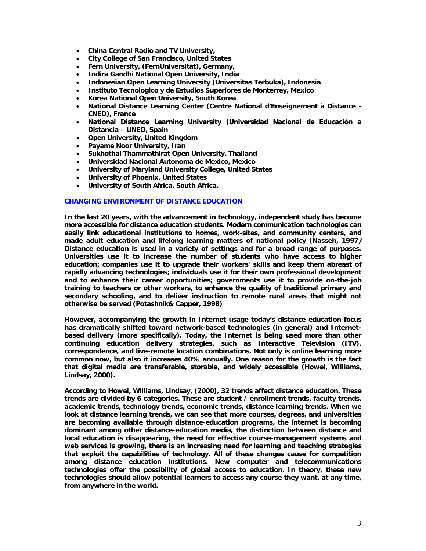- **China Central Radio and TV University,**
- **City College of San Francisco, United States**
- **Fern University, (FernUniversität), Germany,**
- **Indira Gandhi National Open University, India**
- **Indonesian Open Learning University (Universitas Terbuka), Indonesia**
- **Instituto Tecnologico y de Estudios Superiores de Monterrey, Mexico**
- **Korea National Open University, South Korea**
- **National Distance Learning Center (Centre National d'Enseignement à Distance CNED), France**
- **National Distance Learning University (Universidad Nacional de Educación a Distancia – UNED, Spain**
- **Open University, United Kingdom**
- **Payame Noor University, Iran**
- **Sukhothai Thammathirat Open University, Thailand**
- **Universidad Nacional Autonoma de Mexico, Mexico**
- **University of Maryland University College, United States**
- **University of Phoenix, United States**
- **University of South Africa, South Africa.**

## **CHANGING ENVIRONMENT OF DISTANCE EDUCATION**

**In the last 20 years, with the advancement in technology, independent study has become more accessible for distance education students. Modern communication technologies can easily link educational institutions to homes, work-sites, and community centers, and made adult education and lifelong learning matters of national policy (Nasseh, 1997) Distance education is used in a variety of settings and for a broad range of purposes. Universities use it to increase the number of students who have access to higher education; companies use it to upgrade their workers' skills and keep them abreast of rapidly advancing technologies; individuals use it for their own professional development and to enhance their career opportunities; governments use it to provide on-the-job training to teachers or other workers, to enhance the quality of traditional primary and secondary schooling, and to deliver instruction to remote rural areas that might not otherwise be served (Potashnik& Capper, 1998)** 

**However, accompanying the growth in Internet usage today's distance education focus has dramatically shifted toward network-based technologies (in general) and Internetbased delivery (more specifically). Today, the Internet is being used more than other continuing education delivery strategies, such as Interactive Television (ITV), correspondence, and live-remote location combinations. Not only is online learning more common now, but also it increases 40% annually. One reason for the growth is the fact that digital media are transferable, storable, and widely accessible (Howel, Williams, Lindsay, 2000).** 

**According to Howel, Williams, Lindsay, (2000), 32 trends affect distance education. These trends are divided by 6 categories. These are student / enrollment trends, faculty trends, academic trends, technology trends, economic trends, distance learning trends. When we look at distance learning trends, we can see that more courses, degrees, and universities are becoming available through distance-education programs, the internet is becoming dominant among other distance-education media, the distinction between distance and local education is disappearing, the need for effective course-management systems and web services is growing, there is an increasing need for learning and teaching strategies that exploit the capabilities of technology. All of these changes cause for competition among distance education institutions. New computer and telecommunications technologies offer the possibility of global access to education. In theory, these new technologies should allow potential learners to access any course they want, at any time, from anywhere in the world.**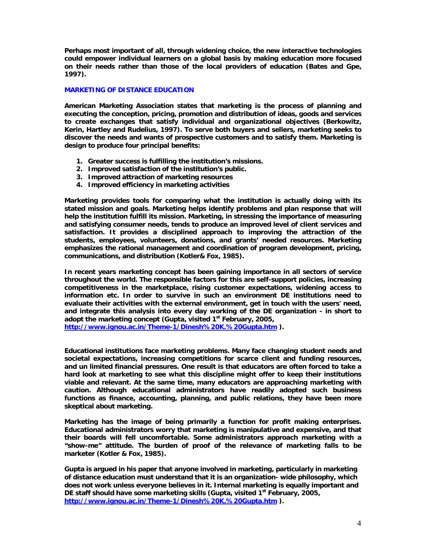**Perhaps most important of all, through widening choice, the new interactive technologies could empower individual learners on a global basis by making education more focused on their needs rather than those of the local providers of education (Bates and Gpe, 1997).**

## **MARKETING OF DISTANCE EDUCATION**

**American Marketing Association states that marketing is the process of planning and executing the conception, pricing, promotion and distribution of ideas, goods and services to create exchanges that satisfy individual and organizational objectives (Berkowitz, Kerin, Hartley and Rudelius, 1997). To serve both buyers and sellers, marketing seeks to discover the needs and wants of prospective customers and to satisfy them. Marketing is design to produce four principal benefits:** 

- **1. Greater success is fulfilling the institution's missions.**
- **2. Improved satisfaction of the institution's public.**
- **3. Improved attraction of marketing resources**
- **4. Improved efficiency in marketing activities**

**Marketing provides tools for comparing what the institution is actually doing with its stated mission and goals. Marketing helps identify problems and plan response that will help the institution fulfill its mission. Marketing, in stressing the importance of measuring and satisfying consumer needs, tends to produce an improved level of client services and satisfaction. It provides a disciplined approach to improving the attraction of the students, employees, volunteers, donations, and grants' needed resources. Marketing emphasizes the rational management and coordination of program development, pricing, communications, and distribution (Kotler& Fox, 1985).** 

**In recent years marketing concept has been gaining importance in all sectors of service throughout the world. The responsible factors for this are self-support policies, increasing competitiveness in the marketplace, rising customer expectations, widening access to information etc. In order to survive in such an environment DE institutions need to evaluate their activities with the external environment, get in touch with the users' need, and integrate this analysis into every day working of the DE organization - in short to adopt the marketing concept (Gupta, visited 1st February, 2005,**

**http://www.ignou.ac.in/Theme-1/Dinesh%20K.%20Gupta.htm ).**

**Educational institutions face marketing problems. Many face changing student needs and societal expectations, increasing competitions for scarce client and funding resources, and un limited financial pressures. One result is that educators are often forced to take a hard look at marketing to see what this discipline might offer to keep their institutions viable and relevant. At the same time, many educators are approaching marketing with caution. Although educational administrators have readily adopted such business functions as finance, accounting, planning, and public relations, they have been more skeptical about marketing.** 

**Marketing has the image of being primarily a function for profit making enterprises. Educational administrators worry that marketing is manipulative and expensive, and that their boards will fell uncomfortable. Some administrators approach marketing with a "show-me" attitude. The burden of proof of the relevance of marketing falls to be marketer (Kotler & Fox, 1985).** 

**Gupta is argued in his paper that anyone involved in marketing, particularly in marketing of distance education must understand that it is an organization- wide philosophy, which does not work unless everyone believes in it. Internal marketing is equally important and DE staff should have some marketing skills (Gupta, visited 1st February, 2005, http://www.ignou.ac.in/Theme-1/Dinesh%20K.%20Gupta.htm ).**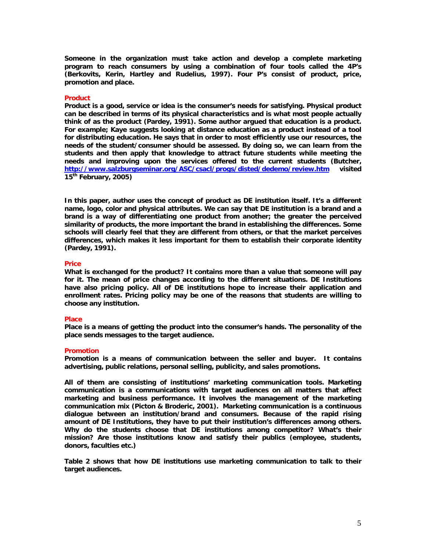**Someone in the organization must take action and develop a complete marketing program to reach consumers by using a combination of four tools called the 4P's (Berkovits, Kerin, Hartley and Rudelius, 1997). Four P's consist of product, price, promotion and place.** 

## **Product**

**Product is a good, service or idea is the consumer's needs for satisfying. Physical product can be described in terms of its physical characteristics and is what most people actually think of as the product (Pardey, 1991). Some author argued that education is a product. For example; Kaye suggests looking at distance education as a product instead of a tool for distributing education. He says that in order to most efficiently use our resources, the needs of the student/consumer should be assessed. By doing so, we can learn from the students and then apply that knowledge to attract future students while meeting the needs and improving upon the services offered to the current students (Butcher, http://www.salzburgseminar.org/ASC/csacl/progs/disted/dedemo/review.htm visited 15th February, 2005)**

**In this paper, author uses the concept of product as DE institution itself. It's a different name, logo, color and physical attributes. We can say that DE institution is a brand and a brand is a way of differentiating one product from another; the greater the perceived similarity of products, the more important the brand in establishing the differences. Some schools will clearly feel that they are different from others, or that the market perceives differences, which makes it less important for them to establish their corporate identity (Pardey, 1991).** 

#### **Price**

**What is exchanged for the product? It contains more than a value that someone will pay for it. The mean of price changes according to the different situations. DE Institutions have also pricing policy. All of DE institutions hope to increase their application and enrollment rates. Pricing policy may be one of the reasons that students are willing to choose any institution.** 

#### **Place**

**Place is a means of getting the product into the consumer's hands. The personality of the place sends messages to the target audience.** 

#### **Promotion**

**Promotion is a means of communication between the seller and buyer. It contains advertising, public relations, personal selling, publicity, and sales promotions.** 

**All of them are consisting of institutions' marketing communication tools. Marketing communication is a communications with target audiences on all matters that affect marketing and business performance. It involves the management of the marketing communication mix (Picton & Broderic, 2001). Marketing communication is a continuous dialogue between an institution/brand and consumers. Because of the rapid rising amount of DE Institutions, they have to put their institution's differences among others. Why do the students choose that DE institutions among competitor? What's their mission? Are those institutions know and satisfy their publics (employee, students, donors, faculties etc.)** 

**Table 2 shows that how DE institutions use marketing communication to talk to their target audiences.**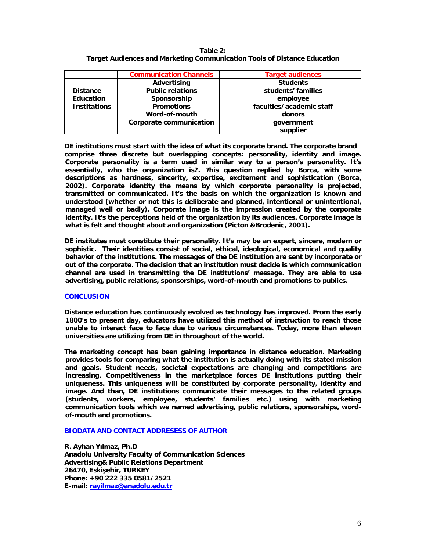| Table $2:$                                                               |
|--------------------------------------------------------------------------|
| Target Audiences and Marketing Communication Tools of Distance Education |

|                     | <b>Communication Channels</b>  | <b>Target audiences</b>  |
|---------------------|--------------------------------|--------------------------|
|                     | Advertising                    | <b>Students</b>          |
| <b>Distance</b>     | <b>Public relations</b>        | students' families       |
| <b>Education</b>    | Sponsorship                    | employee                 |
| <b>Institations</b> | <b>Promotions</b>              | faculties/academic staff |
|                     | Word-of-mouth                  | donors                   |
|                     | <b>Corporate communication</b> | government               |
|                     |                                | supplier                 |

**DE institutions must start with the idea of what its corporate brand. The corporate brand comprise three discrete but overlapping concepts: personality, identity and image. Corporate personality is a term used in similar way to a person's personality. It's essentially, who the organization is?. This question replied by Borca, with some descriptions as hardness, sincerity, expertise, excitement and sophistication (Borca, 2002). Corporate identity the means by which corporate personality is projected, transmitted or communicated. It's the basis on which the organization is known and understood (whether or not this is deliberate and planned, intentional or unintentional, managed well or badly). Corporate image is the impression created by the corporate identity. It's the perceptions held of the organization by its audiences. Corporate image is what is felt and thought about and organization (Picton &Brodenic, 2001).** 

**DE institutes must constitute their personality. It's may be an expert, sincere, modern or sophistic. Their identities consist of social, ethical, ideological, economical and quality behavior of the institutions. The messages of the DE institution are sent by incorporate or out of the corporate. The decision that an institution must decide is which communication channel are used in transmitting the DE institutions' message. They are able to use advertising, public relations, sponsorships, word-of-mouth and promotions to publics.** 

# **CONCLUSION**

**Distance education has continuously evolved as technology has improved. From the early 1800's to present day, educators have utilized this method of instruction to reach those unable to interact face to face due to various circumstances. Today, more than eleven universities are utilizing from DE in throughout of the world.** 

**The marketing concept has been gaining importance in distance education. Marketing provides tools for comparing what the institution is actually doing with its stated mission and goals. Student needs, societal expectations are changing and competitions are increasing. Competitiveness in the marketplace forces DE institutions putting their uniqueness. This uniqueness will be constituted by corporate personality, identity and image. And than, DE institutions communicate their messages to the related groups (students, workers, employee, students' families etc.) using with marketing communication tools which we named advertising, public relations, sponsorships, wordof-mouth and promotions.** 

# **BIODATA AND CONTACT ADDRESESS OF AUTHOR**

**R. Ayhan Yılmaz, Ph.D Anadolu University Faculty of Communication Sciences Advertising& Public Relations Department 26470, Eskişehir, TURKEY Phone: +90 222 335 0581/2521 E-mail: rayilmaz@anadolu.edu.tr**